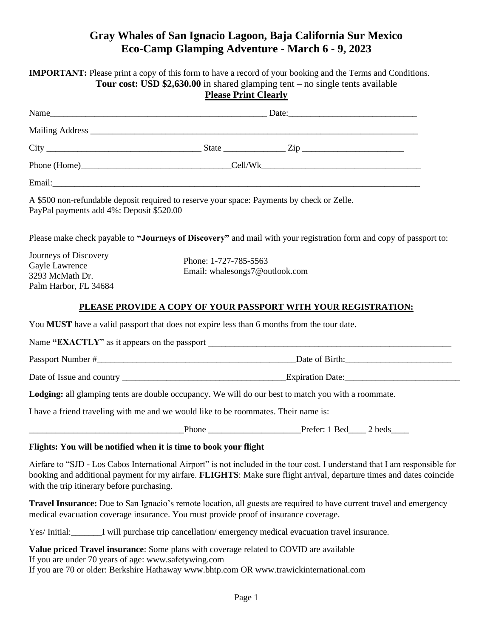## **Gray Whales of San Ignacio Lagoon, Baja California Sur Mexico Eco-Camp Glamping Adventure - March 6 - 9, 2023**

|                                                                                                                                                                                   |                                                         | <b>IMPORTANT:</b> Please print a copy of this form to have a record of your booking and the Terms and Conditions.<br><b>Tour cost: USD \$2,630.00</b> in shared glamping tent $-$ no single tents available                                         |
|-----------------------------------------------------------------------------------------------------------------------------------------------------------------------------------|---------------------------------------------------------|-----------------------------------------------------------------------------------------------------------------------------------------------------------------------------------------------------------------------------------------------------|
|                                                                                                                                                                                   | <b>Please Print Clearly</b>                             |                                                                                                                                                                                                                                                     |
|                                                                                                                                                                                   |                                                         |                                                                                                                                                                                                                                                     |
|                                                                                                                                                                                   |                                                         |                                                                                                                                                                                                                                                     |
|                                                                                                                                                                                   |                                                         |                                                                                                                                                                                                                                                     |
|                                                                                                                                                                                   |                                                         |                                                                                                                                                                                                                                                     |
|                                                                                                                                                                                   |                                                         |                                                                                                                                                                                                                                                     |
| A \$500 non-refundable deposit required to reserve your space: Payments by check or Zelle.<br>PayPal payments add 4%: Deposit \$520.00                                            |                                                         |                                                                                                                                                                                                                                                     |
|                                                                                                                                                                                   |                                                         | Please make check payable to "Journeys of Discovery" and mail with your registration form and copy of passport to:                                                                                                                                  |
| Journeys of Discovery<br>Gayle Lawrence<br>3293 McMath Dr.<br>Palm Harbor, FL 34684                                                                                               | Phone: 1-727-785-5563<br>Email: whalesongs7@outlook.com |                                                                                                                                                                                                                                                     |
|                                                                                                                                                                                   |                                                         | PLEASE PROVIDE A COPY OF YOUR PASSPORT WITH YOUR REGISTRATION:                                                                                                                                                                                      |
| You MUST have a valid passport that does not expire less than 6 months from the tour date.                                                                                        |                                                         |                                                                                                                                                                                                                                                     |
|                                                                                                                                                                                   |                                                         |                                                                                                                                                                                                                                                     |
|                                                                                                                                                                                   |                                                         |                                                                                                                                                                                                                                                     |
|                                                                                                                                                                                   |                                                         |                                                                                                                                                                                                                                                     |
|                                                                                                                                                                                   |                                                         | Lodging: all glamping tents are double occupancy. We will do our best to match you with a roommate.                                                                                                                                                 |
| I have a friend traveling with me and we would like to be roommates. Their name is:                                                                                               |                                                         |                                                                                                                                                                                                                                                     |
|                                                                                                                                                                                   |                                                         |                                                                                                                                                                                                                                                     |
| Flights: You will be notified when it is time to book your flight                                                                                                                 |                                                         |                                                                                                                                                                                                                                                     |
| with the trip itinerary before purchasing.                                                                                                                                        |                                                         | Airfare to "SJD - Los Cabos International Airport" is not included in the tour cost. I understand that I am responsible for<br>booking and additional payment for my airfare. FLIGHTS: Make sure flight arrival, departure times and dates coincide |
| medical evacuation coverage insurance. You must provide proof of insurance coverage.                                                                                              |                                                         | <b>Travel Insurance:</b> Due to San Ignacio's remote location, all guests are required to have current travel and emergency                                                                                                                         |
|                                                                                                                                                                                   |                                                         | Yes/Initial:<br><u>I</u> will purchase trip cancellation/emergency medical evacuation travel insurance.                                                                                                                                             |
| $\mathbf{1} \oplus \mathbf{1} \oplus \mathbf{1}$ $\mathbf{1} \oplus \mathbf{1}$ $\mathbf{1} \oplus \mathbf{1} \oplus \mathbf{1}$ $\mathbf{1} \oplus \mathbf{1} \oplus \mathbf{1}$ |                                                         |                                                                                                                                                                                                                                                     |

**Value priced Travel insurance**: Some plans with coverage related to COVID are available If you are under 70 years of age: www.safetywing.com If you are 70 or older: Berkshire Hathaway www.bhtp.com OR www.trawickinternational.com